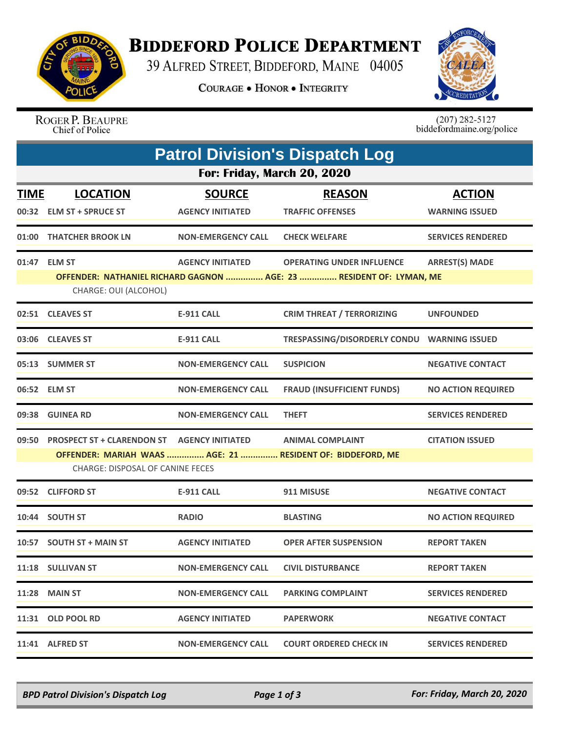

## **BIDDEFORD POLICE DEPARTMENT**

39 ALFRED STREET, BIDDEFORD, MAINE 04005

**COURAGE . HONOR . INTEGRITY** 



ROGER P. BEAUPRE<br>Chief of Police

 $(207)$  282-5127<br>biddefordmaine.org/police

| <b>Patrol Division's Dispatch Log</b> |                                                                                              |                                          |                                                                                                         |                                        |  |  |  |  |  |
|---------------------------------------|----------------------------------------------------------------------------------------------|------------------------------------------|---------------------------------------------------------------------------------------------------------|----------------------------------------|--|--|--|--|--|
|                                       | For: Friday, March 20, 2020                                                                  |                                          |                                                                                                         |                                        |  |  |  |  |  |
| <b>TIME</b>                           | <b>LOCATION</b><br>00:32 ELM ST + SPRUCE ST                                                  | <b>SOURCE</b><br><b>AGENCY INITIATED</b> | <b>REASON</b><br><b>TRAFFIC OFFENSES</b>                                                                | <b>ACTION</b><br><b>WARNING ISSUED</b> |  |  |  |  |  |
|                                       | 01:00 THATCHER BROOK LN                                                                      | <b>NON-EMERGENCY CALL</b>                | <b>CHECK WELFARE</b>                                                                                    | <b>SERVICES RENDERED</b>               |  |  |  |  |  |
|                                       | 01:47 ELM ST<br>CHARGE: OUI (ALCOHOL)                                                        | <b>AGENCY INITIATED</b>                  | <b>OPERATING UNDER INFLUENCE</b><br>OFFENDER: NATHANIEL RICHARD GAGNON  AGE: 23  RESIDENT OF: LYMAN, ME | <b>ARREST(S) MADE</b>                  |  |  |  |  |  |
|                                       | 02:51 CLEAVES ST                                                                             | <b>E-911 CALL</b>                        | <b>CRIM THREAT / TERRORIZING</b>                                                                        | <b>UNFOUNDED</b>                       |  |  |  |  |  |
|                                       | 03:06 CLEAVES ST                                                                             | <b>E-911 CALL</b>                        | TRESPASSING/DISORDERLY CONDU WARNING ISSUED                                                             |                                        |  |  |  |  |  |
|                                       | 05:13 SUMMER ST                                                                              | <b>NON-EMERGENCY CALL</b>                | <b>SUSPICION</b>                                                                                        | <b>NEGATIVE CONTACT</b>                |  |  |  |  |  |
|                                       | 06:52 ELM ST                                                                                 | <b>NON-EMERGENCY CALL</b>                | <b>FRAUD (INSUFFICIENT FUNDS)</b>                                                                       | <b>NO ACTION REQUIRED</b>              |  |  |  |  |  |
|                                       | 09:38 GUINEA RD                                                                              | <b>NON-EMERGENCY CALL</b>                | <b>THEFT</b>                                                                                            | <b>SERVICES RENDERED</b>               |  |  |  |  |  |
|                                       | 09:50 PROSPECT ST + CLARENDON ST AGENCY INITIATED<br><b>CHARGE: DISPOSAL OF CANINE FECES</b> |                                          | <b>ANIMAL COMPLAINT</b><br>OFFENDER: MARIAH WAAS  AGE: 21  RESIDENT OF: BIDDEFORD, ME                   | <b>CITATION ISSUED</b>                 |  |  |  |  |  |
| 09:52                                 | <b>CLIFFORD ST</b>                                                                           | <b>E-911 CALL</b>                        | 911 MISUSE                                                                                              | <b>NEGATIVE CONTACT</b>                |  |  |  |  |  |
|                                       | 10:44 SOUTH ST                                                                               | <b>RADIO</b>                             | <b>BLASTING</b>                                                                                         | <b>NO ACTION REQUIRED</b>              |  |  |  |  |  |
|                                       | 10:57 SOUTH ST + MAIN ST                                                                     | <b>AGENCY INITIATED</b>                  | <b>OPER AFTER SUSPENSION</b>                                                                            | <b>REPORT TAKEN</b>                    |  |  |  |  |  |
|                                       | 11:18 SULLIVAN ST                                                                            | <b>NON-EMERGENCY CALL</b>                | <b>CIVIL DISTURBANCE</b>                                                                                | <b>REPORT TAKEN</b>                    |  |  |  |  |  |
|                                       | <b>11:28 MAIN ST</b>                                                                         | <b>NON-EMERGENCY CALL</b>                | <b>PARKING COMPLAINT</b>                                                                                | <b>SERVICES RENDERED</b>               |  |  |  |  |  |
|                                       | 11:31 OLD POOL RD                                                                            | <b>AGENCY INITIATED</b>                  | <b>PAPERWORK</b>                                                                                        | <b>NEGATIVE CONTACT</b>                |  |  |  |  |  |
|                                       | 11:41 ALFRED ST                                                                              | <b>NON-EMERGENCY CALL</b>                | <b>COURT ORDERED CHECK IN</b>                                                                           | <b>SERVICES RENDERED</b>               |  |  |  |  |  |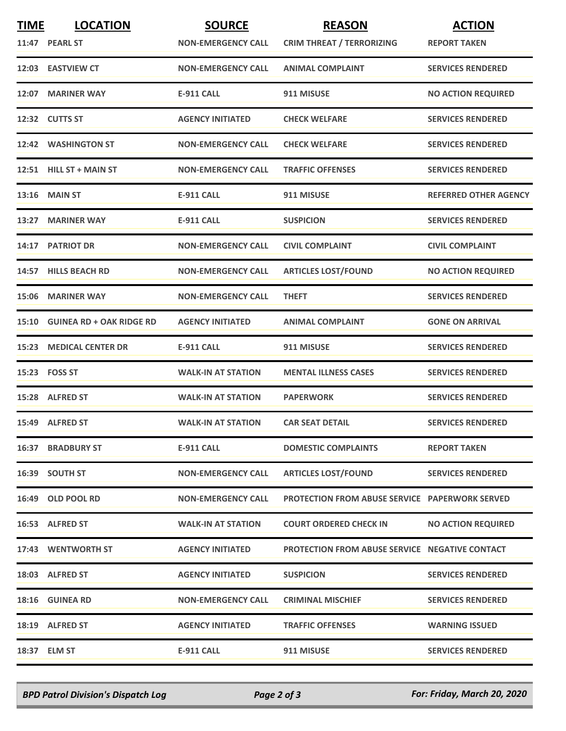| <b>TIME</b> | <b>LOCATION</b><br>11:47 PEARL ST | <b>SOURCE</b><br><b>NON-EMERGENCY CALL</b> | <b>REASON</b><br><b>CRIM THREAT / TERRORIZING</b>     | <b>ACTION</b><br><b>REPORT TAKEN</b> |
|-------------|-----------------------------------|--------------------------------------------|-------------------------------------------------------|--------------------------------------|
|             | 12:03 EASTVIEW CT                 | <b>NON-EMERGENCY CALL</b>                  | <b>ANIMAL COMPLAINT</b>                               | <b>SERVICES RENDERED</b>             |
|             | 12:07 MARINER WAY                 | <b>E-911 CALL</b>                          | 911 MISUSE                                            | <b>NO ACTION REQUIRED</b>            |
|             | 12:32 CUTTS ST                    | <b>AGENCY INITIATED</b>                    | <b>CHECK WELFARE</b>                                  | <b>SERVICES RENDERED</b>             |
|             | 12:42 WASHINGTON ST               | <b>NON-EMERGENCY CALL</b>                  | <b>CHECK WELFARE</b>                                  | <b>SERVICES RENDERED</b>             |
|             | 12:51 HILL ST + MAIN ST           | <b>NON-EMERGENCY CALL</b>                  | <b>TRAFFIC OFFENSES</b>                               | <b>SERVICES RENDERED</b>             |
|             | <b>13:16 MAIN ST</b>              | E-911 CALL                                 | 911 MISUSE                                            | <b>REFERRED OTHER AGENCY</b>         |
|             | 13:27 MARINER WAY                 | <b>E-911 CALL</b>                          | <b>SUSPICION</b>                                      | <b>SERVICES RENDERED</b>             |
|             | 14:17 PATRIOT DR                  | <b>NON-EMERGENCY CALL</b>                  | <b>CIVIL COMPLAINT</b>                                | <b>CIVIL COMPLAINT</b>               |
| 14:57       | <b>HILLS BEACH RD</b>             | <b>NON-EMERGENCY CALL</b>                  | <b>ARTICLES LOST/FOUND</b>                            | <b>NO ACTION REQUIRED</b>            |
|             | 15:06 MARINER WAY                 | <b>NON-EMERGENCY CALL</b>                  | <b>THEFT</b>                                          | <b>SERVICES RENDERED</b>             |
|             | 15:10 GUINEA RD + OAK RIDGE RD    | <b>AGENCY INITIATED</b>                    | <b>ANIMAL COMPLAINT</b>                               | <b>GONE ON ARRIVAL</b>               |
| 15:23       | <b>MEDICAL CENTER DR</b>          | <b>E-911 CALL</b>                          | 911 MISUSE                                            | <b>SERVICES RENDERED</b>             |
|             | 15:23 FOSS ST                     | <b>WALK-IN AT STATION</b>                  | <b>MENTAL ILLNESS CASES</b>                           | <b>SERVICES RENDERED</b>             |
|             | 15:28 ALFRED ST                   | <b>WALK-IN AT STATION</b>                  | <b>PAPERWORK</b>                                      | <b>SERVICES RENDERED</b>             |
|             | 15:49 ALFRED ST                   | <b>WALK-IN AT STATION</b>                  | <b>CAR SEAT DETAIL</b>                                | <b>SERVICES RENDERED</b>             |
|             | <b>16:37 BRADBURY ST</b>          | E-911 CALL                                 | <b>DOMESTIC COMPLAINTS</b>                            | <b>REPORT TAKEN</b>                  |
|             | 16:39 SOUTH ST                    | <b>NON-EMERGENCY CALL</b>                  | <b>ARTICLES LOST/FOUND</b>                            | <b>SERVICES RENDERED</b>             |
|             | 16:49 OLD POOL RD                 | <b>NON-EMERGENCY CALL</b>                  | <b>PROTECTION FROM ABUSE SERVICE PAPERWORK SERVED</b> |                                      |
|             | 16:53 ALFRED ST                   | <b>WALK-IN AT STATION</b>                  | <b>COURT ORDERED CHECK IN</b>                         | <b>NO ACTION REQUIRED</b>            |
|             | 17:43 WENTWORTH ST                | <b>AGENCY INITIATED</b>                    | <b>PROTECTION FROM ABUSE SERVICE NEGATIVE CONTACT</b> |                                      |
|             | 18:03 ALFRED ST                   | <b>AGENCY INITIATED</b>                    | <b>SUSPICION</b>                                      | <b>SERVICES RENDERED</b>             |
|             | <b>18:16 GUINEA RD</b>            | <b>NON-EMERGENCY CALL</b>                  | <b>CRIMINAL MISCHIEF</b>                              | <b>SERVICES RENDERED</b>             |
|             | 18:19 ALFRED ST                   | <b>AGENCY INITIATED</b>                    | <b>TRAFFIC OFFENSES</b>                               | <b>WARNING ISSUED</b>                |
|             | 18:37 ELM ST                      | <b>E-911 CALL</b>                          | 911 MISUSE                                            | <b>SERVICES RENDERED</b>             |

*BPD Patrol Division's Dispatch Log Page 2 of 3 For: Friday, March 20, 2020*